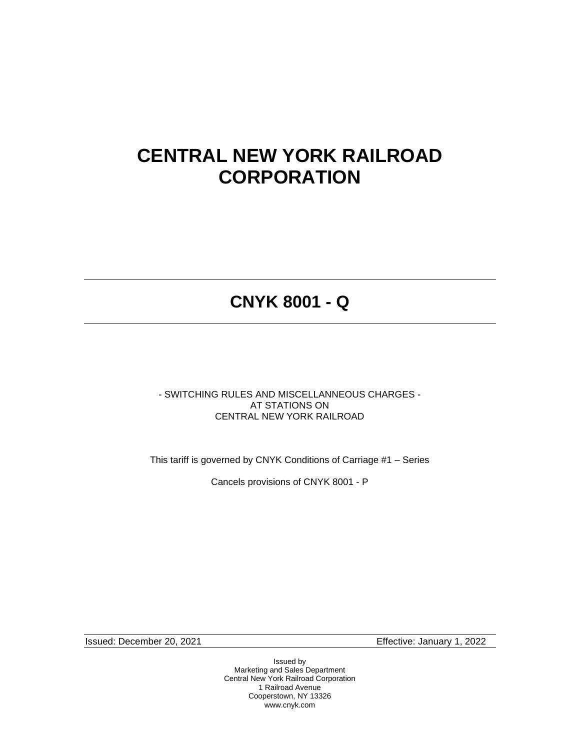# **CENTRAL NEW YORK RAILROAD CORPORATION**

# **CNYK 8001 - Q**

- SWITCHING RULES AND MISCELLANNEOUS CHARGES - AT STATIONS ON CENTRAL NEW YORK RAILROAD

This tariff is governed by CNYK Conditions of Carriage #1 – Series

Cancels provisions of CNYK 8001 - P

Issued: December 20, 2021 Effective: January 1, 2022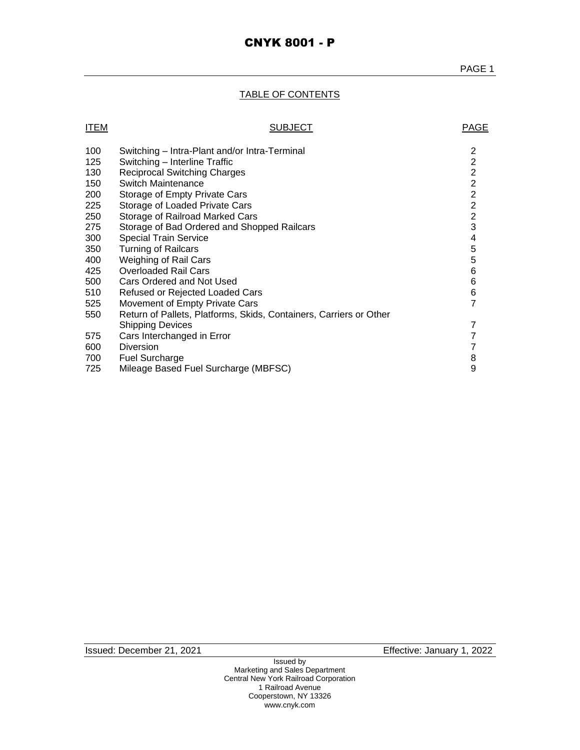# TABLE OF CONTENTS

| <b>ITEM</b> | <b>SUBJECT</b>                                                     | <b>PAGE</b>    |
|-------------|--------------------------------------------------------------------|----------------|
| 100         | Switching – Intra-Plant and/or Intra-Terminal                      | $\overline{c}$ |
| 125         | Switching - Interline Traffic                                      | $\frac{2}{2}$  |
| 130         | <b>Reciprocal Switching Charges</b>                                |                |
| 150         | Switch Maintenance                                                 | $\overline{2}$ |
| 200         | Storage of Empty Private Cars                                      | $\overline{2}$ |
| 225         | Storage of Loaded Private Cars                                     | $\overline{c}$ |
| 250         | Storage of Railroad Marked Cars                                    | $\overline{2}$ |
| 275         | Storage of Bad Ordered and Shopped Railcars                        | 3              |
| 300         | <b>Special Train Service</b>                                       | 4              |
| 350         | <b>Turning of Railcars</b>                                         | 5              |
| 400         | <b>Weighing of Rail Cars</b>                                       | 5              |
| 425         | <b>Overloaded Rail Cars</b>                                        | 6              |
| 500         | Cars Ordered and Not Used                                          | 6              |
| 510         | Refused or Rejected Loaded Cars                                    | 6              |
| 525         | Movement of Empty Private Cars                                     | $\overline{7}$ |
| 550         | Return of Pallets, Platforms, Skids, Containers, Carriers or Other |                |
|             | <b>Shipping Devices</b>                                            | 7              |
| 575         | Cars Interchanged in Error                                         | $\overline{7}$ |
| 600         | <b>Diversion</b>                                                   | $\overline{7}$ |
| 700         | <b>Fuel Surcharge</b>                                              | 8              |
| 725         | Mileage Based Fuel Surcharge (MBFSC)                               | 9              |
|             |                                                                    |                |

Issued: December 21, 2021 Effective: January 1, 2022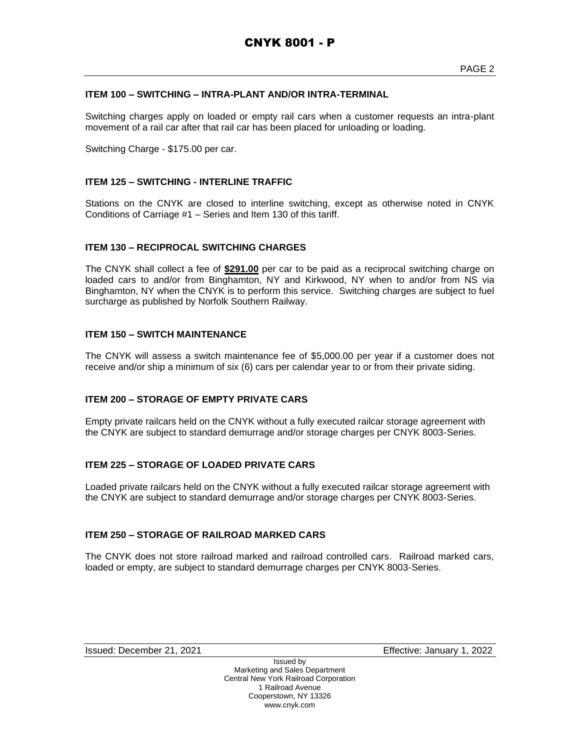# **ITEM 100 – SWITCHING – INTRA-PLANT AND/OR INTRA-TERMINAL**

Switching charges apply on loaded or empty rail cars when a customer requests an intra-plant movement of a rail car after that rail car has been placed for unloading or loading.

Switching Charge - \$175.00 per car.

# **ITEM 125 – SWITCHING - INTERLINE TRAFFIC**

Stations on the CNYK are closed to interline switching, except as otherwise noted in CNYK Conditions of Carriage #1 – Series and Item 130 of this tariff.

# **ITEM 130 – RECIPROCAL SWITCHING CHARGES**

The CNYK shall collect a fee of **\$291.00** per car to be paid as a reciprocal switching charge on loaded cars to and/or from Binghamton, NY and Kirkwood, NY when to and/or from NS via Binghamton, NY when the CNYK is to perform this service. Switching charges are subject to fuel surcharge as published by Norfolk Southern Railway.

# **ITEM 150 – SWITCH MAINTENANCE**

The CNYK will assess a switch maintenance fee of \$5,000.00 per year if a customer does not receive and/or ship a minimum of six (6) cars per calendar year to or from their private siding.

# **ITEM 200 – STORAGE OF EMPTY PRIVATE CARS**

Empty private railcars held on the CNYK without a fully executed railcar storage agreement with the CNYK are subject to standard demurrage and/or storage charges per CNYK 8003-Series.

# **ITEM 225 – STORAGE OF LOADED PRIVATE CARS**

Loaded private railcars held on the CNYK without a fully executed railcar storage agreement with the CNYK are subject to standard demurrage and/or storage charges per CNYK 8003-Series.

#### **ITEM 250 – STORAGE OF RAILROAD MARKED CARS**

The CNYK does not store railroad marked and railroad controlled cars. Railroad marked cars, loaded or empty, are subject to standard demurrage charges per CNYK 8003-Series.

Issued: December 21, 2021 Effective: January 1, 2022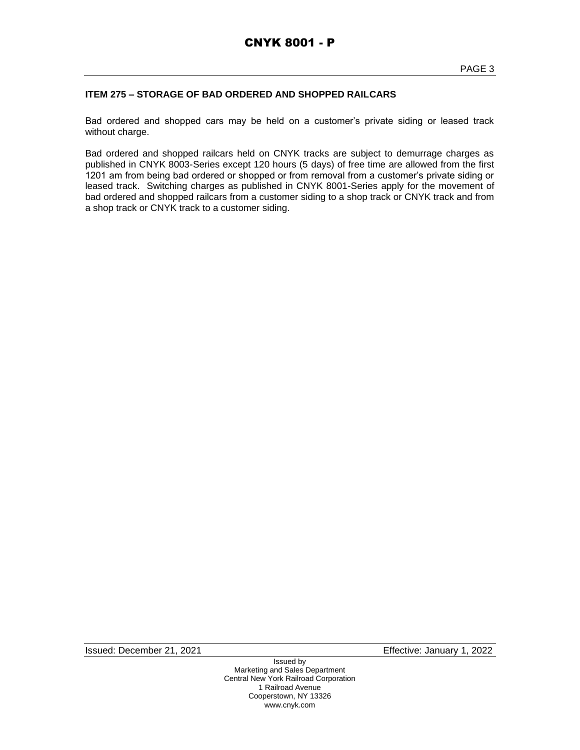# **ITEM 275 – STORAGE OF BAD ORDERED AND SHOPPED RAILCARS**

Bad ordered and shopped cars may be held on a customer's private siding or leased track without charge.

Bad ordered and shopped railcars held on CNYK tracks are subject to demurrage charges as published in CNYK 8003-Series except 120 hours (5 days) of free time are allowed from the first 1201 am from being bad ordered or shopped or from removal from a customer's private siding or leased track. Switching charges as published in CNYK 8001-Series apply for the movement of bad ordered and shopped railcars from a customer siding to a shop track or CNYK track and from a shop track or CNYK track to a customer siding.

Issued: December 21, 2021 Effective: January 1, 2022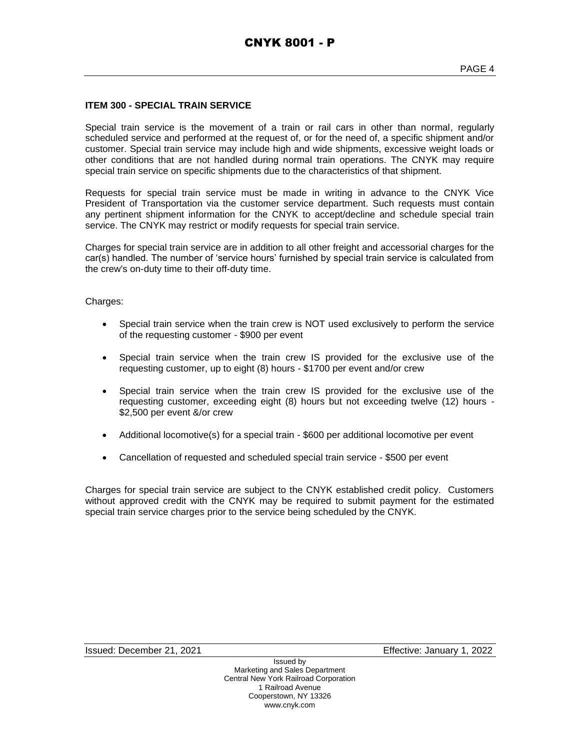#### **ITEM 300 - SPECIAL TRAIN SERVICE**

Special train service is the movement of a train or rail cars in other than normal, regularly scheduled service and performed at the request of, or for the need of, a specific shipment and/or customer. Special train service may include high and wide shipments, excessive weight loads or other conditions that are not handled during normal train operations. The CNYK may require special train service on specific shipments due to the characteristics of that shipment.

Requests for special train service must be made in writing in advance to the CNYK Vice President of Transportation via the customer service department. Such requests must contain any pertinent shipment information for the CNYK to accept/decline and schedule special train service. The CNYK may restrict or modify requests for special train service.

Charges for special train service are in addition to all other freight and accessorial charges for the car(s) handled. The number of 'service hours' furnished by special train service is calculated from the crew's on-duty time to their off-duty time.

Charges:

- Special train service when the train crew is NOT used exclusively to perform the service of the requesting customer - \$900 per event
- Special train service when the train crew IS provided for the exclusive use of the requesting customer, up to eight (8) hours - \$1700 per event and/or crew
- Special train service when the train crew IS provided for the exclusive use of the requesting customer, exceeding eight (8) hours but not exceeding twelve (12) hours - \$2,500 per event &/or crew
- Additional locomotive(s) for a special train \$600 per additional locomotive per event
- Cancellation of requested and scheduled special train service \$500 per event

Charges for special train service are subject to the CNYK established credit policy. Customers without approved credit with the CNYK may be required to submit payment for the estimated special train service charges prior to the service being scheduled by the CNYK.

Issued: December 21, 2021 Effective: January 1, 2022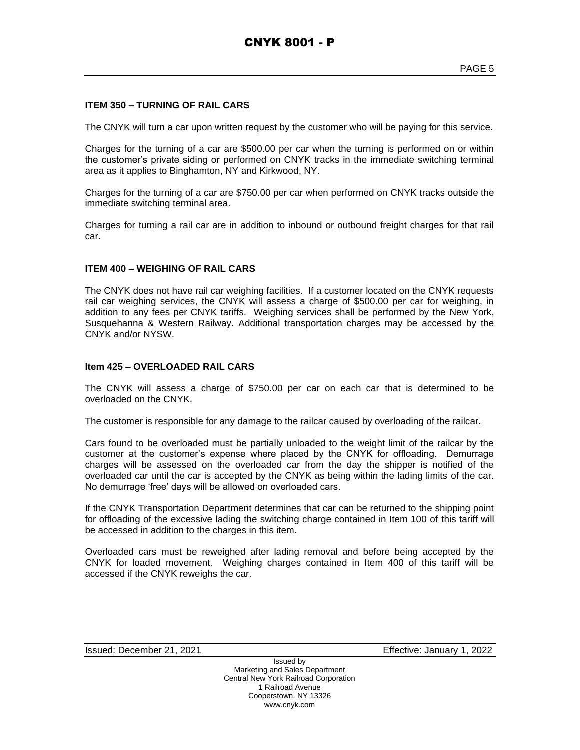#### **ITEM 350 – TURNING OF RAIL CARS**

The CNYK will turn a car upon written request by the customer who will be paying for this service.

Charges for the turning of a car are \$500.00 per car when the turning is performed on or within the customer's private siding or performed on CNYK tracks in the immediate switching terminal area as it applies to Binghamton, NY and Kirkwood, NY.

Charges for the turning of a car are \$750.00 per car when performed on CNYK tracks outside the immediate switching terminal area.

Charges for turning a rail car are in addition to inbound or outbound freight charges for that rail car.

#### **ITEM 400 – WEIGHING OF RAIL CARS**

The CNYK does not have rail car weighing facilities. If a customer located on the CNYK requests rail car weighing services, the CNYK will assess a charge of \$500.00 per car for weighing, in addition to any fees per CNYK tariffs. Weighing services shall be performed by the New York, Susquehanna & Western Railway. Additional transportation charges may be accessed by the CNYK and/or NYSW.

# **Item 425 – OVERLOADED RAIL CARS**

The CNYK will assess a charge of \$750.00 per car on each car that is determined to be overloaded on the CNYK.

The customer is responsible for any damage to the railcar caused by overloading of the railcar.

Cars found to be overloaded must be partially unloaded to the weight limit of the railcar by the customer at the customer's expense where placed by the CNYK for offloading. Demurrage charges will be assessed on the overloaded car from the day the shipper is notified of the overloaded car until the car is accepted by the CNYK as being within the lading limits of the car. No demurrage 'free' days will be allowed on overloaded cars.

If the CNYK Transportation Department determines that car can be returned to the shipping point for offloading of the excessive lading the switching charge contained in Item 100 of this tariff will be accessed in addition to the charges in this item.

Overloaded cars must be reweighed after lading removal and before being accepted by the CNYK for loaded movement. Weighing charges contained in Item 400 of this tariff will be accessed if the CNYK reweighs the car.

Issued: December 21, 2021 Effective: January 1, 2022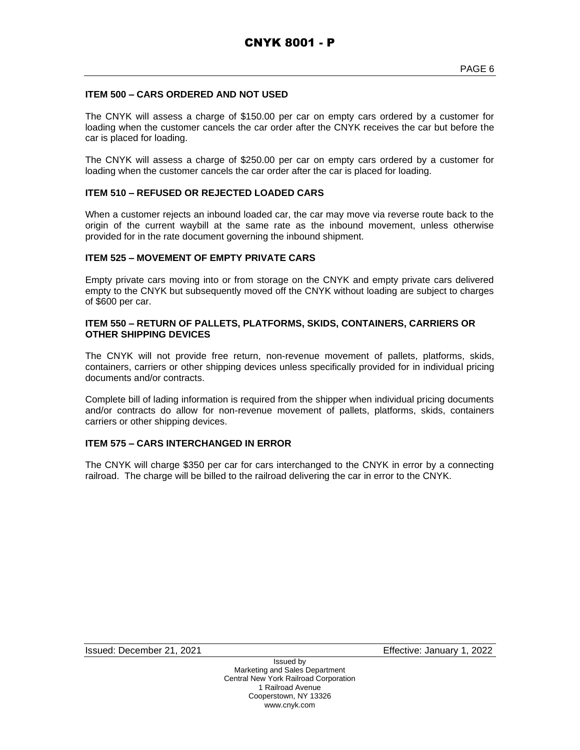# **ITEM 500 – CARS ORDERED AND NOT USED**

The CNYK will assess a charge of \$150.00 per car on empty cars ordered by a customer for loading when the customer cancels the car order after the CNYK receives the car but before the car is placed for loading.

The CNYK will assess a charge of \$250.00 per car on empty cars ordered by a customer for loading when the customer cancels the car order after the car is placed for loading.

#### **ITEM 510 – REFUSED OR REJECTED LOADED CARS**

When a customer rejects an inbound loaded car, the car may move via reverse route back to the origin of the current waybill at the same rate as the inbound movement, unless otherwise provided for in the rate document governing the inbound shipment.

#### **ITEM 525 – MOVEMENT OF EMPTY PRIVATE CARS**

Empty private cars moving into or from storage on the CNYK and empty private cars delivered empty to the CNYK but subsequently moved off the CNYK without loading are subject to charges of \$600 per car.

#### **ITEM 550 – RETURN OF PALLETS, PLATFORMS, SKIDS, CONTAINERS, CARRIERS OR OTHER SHIPPING DEVICES**

The CNYK will not provide free return, non-revenue movement of pallets, platforms, skids, containers, carriers or other shipping devices unless specifically provided for in individual pricing documents and/or contracts.

Complete bill of lading information is required from the shipper when individual pricing documents and/or contracts do allow for non-revenue movement of pallets, platforms, skids, containers carriers or other shipping devices.

# **ITEM 575 – CARS INTERCHANGED IN ERROR**

The CNYK will charge \$350 per car for cars interchanged to the CNYK in error by a connecting railroad. The charge will be billed to the railroad delivering the car in error to the CNYK.

Issued: December 21, 2021 Effective: January 1, 2022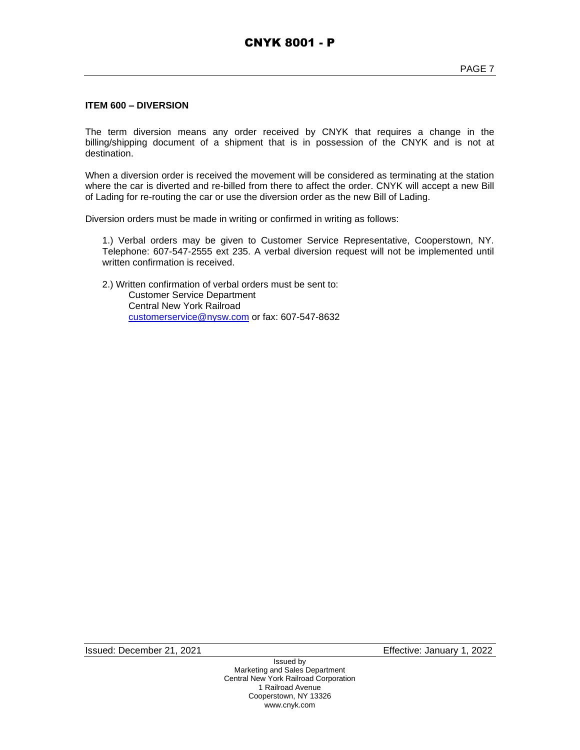#### **ITEM 600 – DIVERSION**

The term diversion means any order received by CNYK that requires a change in the billing/shipping document of a shipment that is in possession of the CNYK and is not at destination.

When a diversion order is received the movement will be considered as terminating at the station where the car is diverted and re-billed from there to affect the order. CNYK will accept a new Bill of Lading for re-routing the car or use the diversion order as the new Bill of Lading.

Diversion orders must be made in writing or confirmed in writing as follows:

1.) Verbal orders may be given to Customer Service Representative, Cooperstown, NY. Telephone: 607-547-2555 ext 235. A verbal diversion request will not be implemented until written confirmation is received.

2.) Written confirmation of verbal orders must be sent to: Customer Service Department Central New York Railroad [customerservice@nysw.com](mailto:customerservice@nysw.com) or fax: 607-547-8632

Issued: December 21, 2021 Effective: January 1, 2022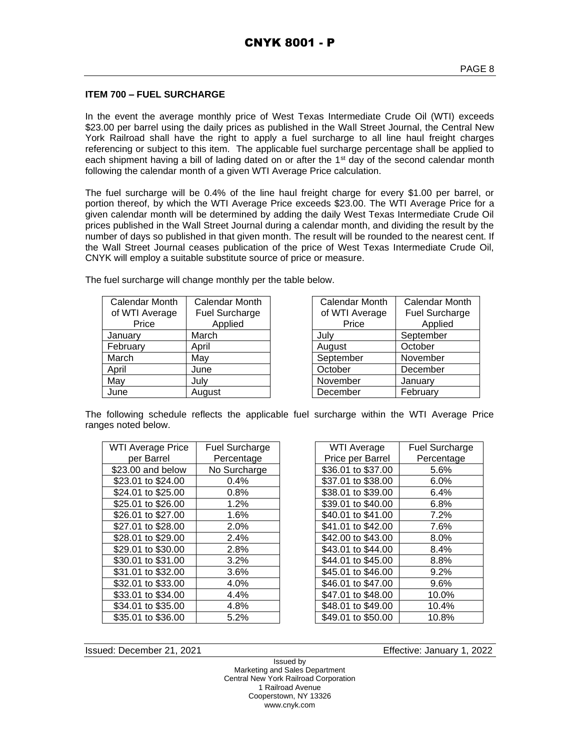# **ITEM 700 – FUEL SURCHARGE**

In the event the average monthly price of West Texas Intermediate Crude Oil (WTI) exceeds \$23.00 per barrel using the daily prices as published in the Wall Street Journal, the Central New York Railroad shall have the right to apply a fuel surcharge to all line haul freight charges referencing or subject to this item. The applicable fuel surcharge percentage shall be applied to each shipment having a bill of lading dated on or after the  $1<sup>st</sup>$  day of the second calendar month following the calendar month of a given WTI Average Price calculation.

The fuel surcharge will be 0.4% of the line haul freight charge for every \$1.00 per barrel, or portion thereof, by which the WTI Average Price exceeds \$23.00. The WTI Average Price for a given calendar month will be determined by adding the daily West Texas Intermediate Crude Oil prices published in the Wall Street Journal during a calendar month, and dividing the result by the number of days so published in that given month. The result will be rounded to the nearest cent. If the Wall Street Journal ceases publication of the price of West Texas Intermediate Crude Oil, CNYK will employ a suitable substitute source of price or measure.

The fuel surcharge will change monthly per the table below.

| Calendar Month | Calendar Month | Calendar Month | Calendar I        |
|----------------|----------------|----------------|-------------------|
| of WTI Average | Fuel Surcharge | of WTI Average | <b>Fuel Surcl</b> |
| Price          | Applied        | Price          | Applie            |
| January        | March          | Julv           | September         |
| February       | April          | August         | October           |
| March          | May            | September      | November          |
| April          | June           | October        | December          |
| May            | July           | November       | January           |
| June           | August         | December       | February          |

| <b>Calendar Month</b> | <b>Calendar Month</b> |  |
|-----------------------|-----------------------|--|
| of WTI Average        | <b>Fuel Surcharge</b> |  |
| Price                 | Applied               |  |
| July                  | September             |  |
| August                | October               |  |
| September             | November              |  |
| October               | December              |  |
| November              | January               |  |
| December              | February              |  |

The following schedule reflects the applicable fuel surcharge within the WTI Average Price ranges noted below.

| <b>WTI Average Price</b> | <b>Fuel Surcharge</b> | WTI Average        | <b>Fuel Surch</b> |
|--------------------------|-----------------------|--------------------|-------------------|
| per Barrel               | Percentage            | Price per Barrel   | Percenta          |
| \$23.00 and below        | No Surcharge          | \$36.01 to \$37.00 | 5.6%              |
| \$23.01 to \$24.00       | 0.4%                  | \$37.01 to \$38.00 | 6.0%              |
| \$24.01 to \$25.00       | 0.8%                  | \$38.01 to \$39.00 | 6.4%              |
| \$25.01 to \$26.00       | 1.2%                  | \$39.01 to \$40.00 | 6.8%              |
| \$26.01 to \$27.00       | 1.6%                  | \$40.01 to \$41.00 | 7.2%              |
| \$27.01 to \$28.00       | 2.0%                  | \$41.01 to \$42.00 | 7.6%              |
| \$28.01 to \$29.00       | 2.4%                  | \$42.00 to \$43.00 | $8.0\%$           |
| \$29.01 to \$30.00       | 2.8%                  | \$43.01 to \$44.00 | 8.4%              |
| \$30.01 to \$31.00       | 3.2%                  | \$44.01 to \$45.00 | 8.8%              |
| \$31.01 to \$32.00       | 3.6%                  | \$45.01 to \$46.00 | 9.2%              |
| \$32.01 to \$33.00       | 4.0%                  | \$46.01 to \$47.00 | 9.6%              |
| \$33.01 to \$34.00       | 4.4%                  | \$47.01 to \$48.00 | 10.0%             |
| \$34.01 to \$35.00       | 4.8%                  | \$48.01 to \$49.00 | 10.4%             |
| \$35.01 to \$36.00       | 5.2%                  | \$49.01 to \$50.00 | 10.8%             |
|                          |                       |                    |                   |

| <b>WTI Average</b> | <b>Fuel Surcharge</b> |  |
|--------------------|-----------------------|--|
| Price per Barrel   | Percentage            |  |
| \$36.01 to \$37.00 | 5.6%                  |  |
| \$37.01 to \$38.00 | $6.0\%$               |  |
| \$38.01 to \$39.00 | 6.4%                  |  |
| \$39.01 to \$40.00 | 6.8%                  |  |
| \$40.01 to \$41.00 | $7.2\%$               |  |
| \$41.01 to \$42.00 | 7.6%                  |  |
| \$42.00 to \$43.00 | $8.0\%$               |  |
| \$43.01 to \$44.00 | 8.4%                  |  |
| \$44.01 to \$45.00 | 8.8%                  |  |
| \$45.01 to \$46.00 | $9.2\%$               |  |
| \$46.01 to \$47.00 | 9.6%                  |  |
| \$47.01 to \$48.00 | 10.0%                 |  |
| \$48.01 to \$49.00 | 10.4%                 |  |
| \$49.01 to \$50.00 | 10.8%                 |  |

Issued: December 21, 2021 Effective: January 1, 2022